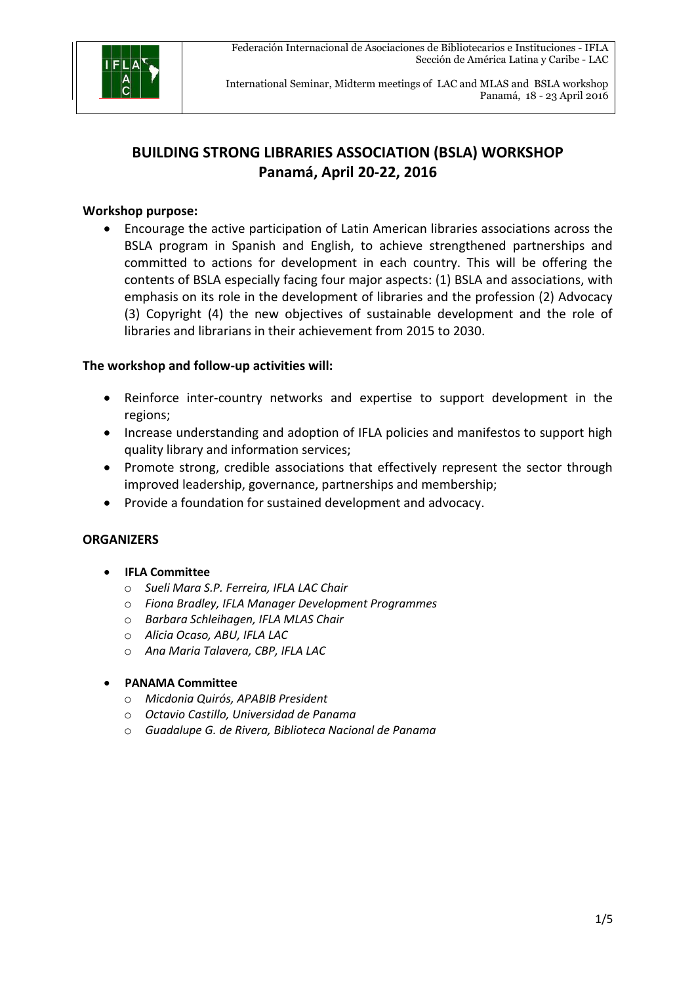

International Seminar, Midterm meetings of LAC and MLAS and BSLA workshop Panamá, 18 - 23 April 2016

## **BUILDING STRONG LIBRARIES ASSOCIATION (BSLA) WORKSHOP Panamá, April 20-22, 2016**

#### **Workshop purpose:**

 Encourage the active participation of Latin American libraries associations across the BSLA program in Spanish and English, to achieve strengthened partnerships and committed to actions for development in each country. This will be offering the contents of BSLA especially facing four major aspects: (1) BSLA and associations, with emphasis on its role in the development of libraries and the profession (2) Advocacy (3) Copyright (4) the new objectives of sustainable development and the role of libraries and librarians in their achievement from 2015 to 2030.

#### **The workshop and follow-up activities will:**

- Reinforce inter-country networks and expertise to support development in the regions;
- Increase understanding and adoption of IFLA policies and manifestos to support high quality library and information services;
- Promote strong, credible associations that effectively represent the sector through improved leadership, governance, partnerships and membership;
- Provide a foundation for sustained development and advocacy.

#### **ORGANIZERS**

- **IFLA Committee**
	- o *Sueli Mara S.P. Ferreira, IFLA LAC Chair*
	- o *Fiona Bradley, IFLA Manager Development Programmes*
	- o *Barbara Schleihagen, IFLA MLAS Chair*
	- o *Alicia Ocaso, ABU, IFLA LAC*
	- o *Ana Maria Talavera, CBP, IFLA LAC*

#### **PANAMA Committee**

- o *Micdonia Quirós, APABIB President*
- o *Octavio Castillo, Universidad de Panama*
- o *Guadalupe G. de Rivera, Biblioteca Nacional de Panama*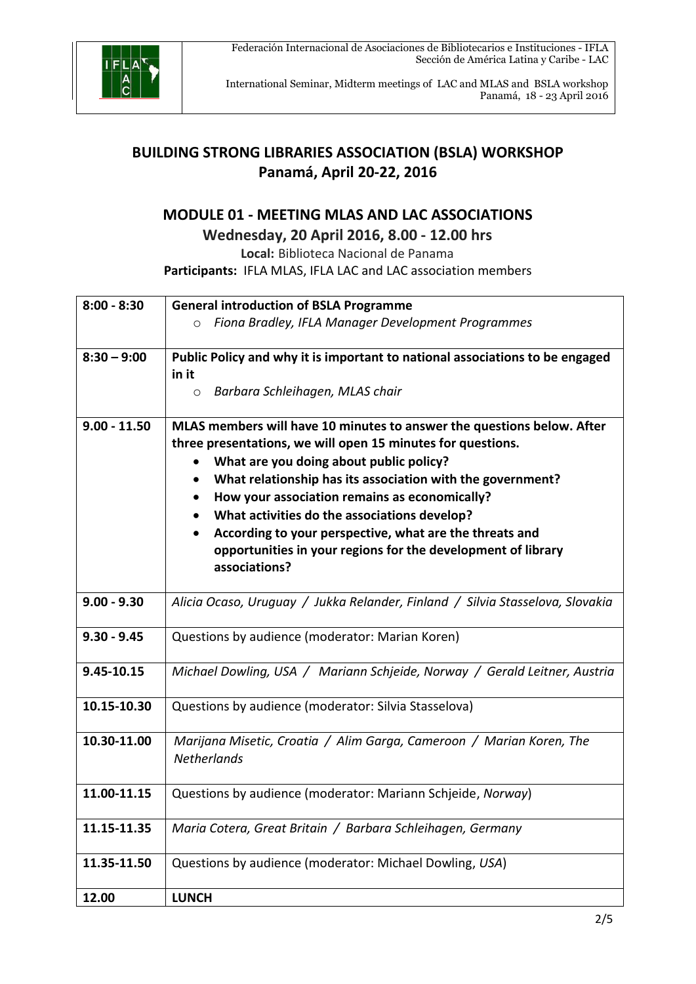

International Seminar, Midterm meetings of LAC and MLAS and BSLA workshop Panamá, 18 - 23 April 2016

## **BUILDING STRONG LIBRARIES ASSOCIATION (BSLA) WORKSHOP Panamá, April 20-22, 2016**

### **MODULE 01 - MEETING MLAS AND LAC ASSOCIATIONS**

**Wednesday, 20 April 2016, 8.00 - 12.00 hrs**

**Local:** Biblioteca Nacional de Panama **Participants:** IFLA MLAS, IFLA LAC and LAC association members

| $8:00 - 8:30$  | <b>General introduction of BSLA Programme</b>                                 |  |
|----------------|-------------------------------------------------------------------------------|--|
|                | Fiona Bradley, IFLA Manager Development Programmes<br>$\Omega$                |  |
|                |                                                                               |  |
| $8:30 - 9:00$  | Public Policy and why it is important to national associations to be engaged  |  |
|                | in it                                                                         |  |
|                | Barbara Schleihagen, MLAS chair<br>$\circ$                                    |  |
|                |                                                                               |  |
| $9.00 - 11.50$ | MLAS members will have 10 minutes to answer the questions below. After        |  |
|                | three presentations, we will open 15 minutes for questions.                   |  |
|                | What are you doing about public policy?                                       |  |
|                | What relationship has its association with the government?<br>٠               |  |
|                | How your association remains as economically?                                 |  |
|                | What activities do the associations develop?                                  |  |
|                | According to your perspective, what are the threats and                       |  |
|                | opportunities in your regions for the development of library                  |  |
|                | associations?                                                                 |  |
|                |                                                                               |  |
| $9.00 - 9.30$  | Alicia Ocaso, Uruguay / Jukka Relander, Finland / Silvia Stasselova, Slovakia |  |
|                |                                                                               |  |
| $9.30 - 9.45$  | Questions by audience (moderator: Marian Koren)                               |  |
| 9.45-10.15     | Michael Dowling, USA / Mariann Schjeide, Norway / Gerald Leitner, Austria     |  |
|                |                                                                               |  |
| 10.15-10.30    | Questions by audience (moderator: Silvia Stasselova)                          |  |
|                |                                                                               |  |
| 10.30-11.00    | Marijana Misetic, Croatia / Alim Garga, Cameroon / Marian Koren, The          |  |
|                | <b>Netherlands</b>                                                            |  |
|                |                                                                               |  |
| 11.00-11.15    | Questions by audience (moderator: Mariann Schjeide, Norway)                   |  |
|                |                                                                               |  |
| 11.15-11.35    | Maria Cotera, Great Britain / Barbara Schleihagen, Germany                    |  |
| 11.35-11.50    |                                                                               |  |
|                | Questions by audience (moderator: Michael Dowling, USA)                       |  |
| 12.00          | <b>LUNCH</b>                                                                  |  |
|                |                                                                               |  |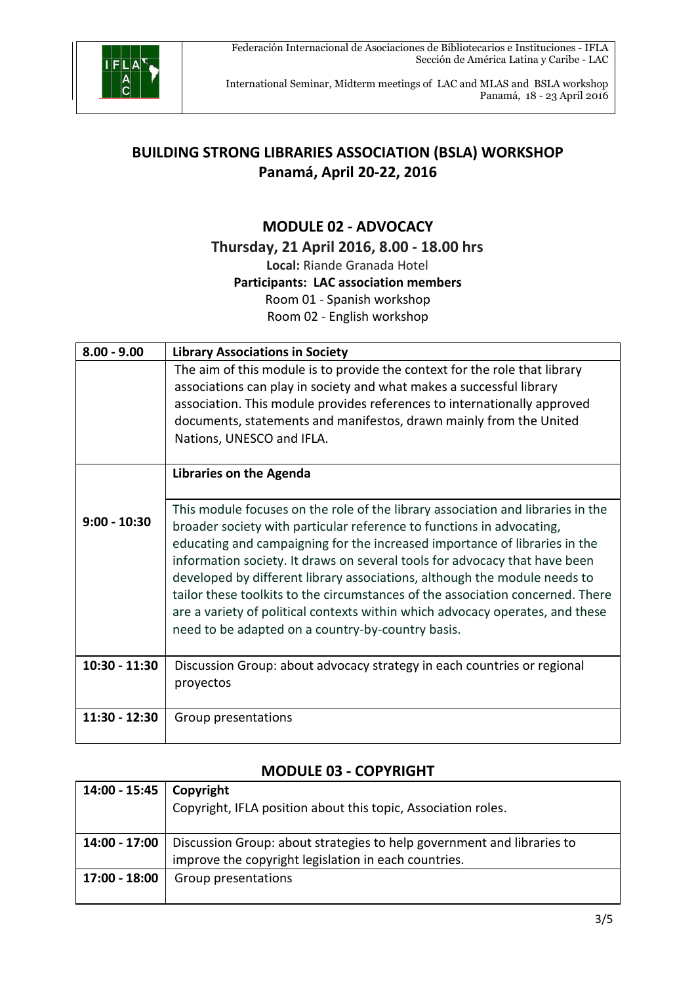

International Seminar, Midterm meetings of LAC and MLAS and BSLA workshop Panamá, 18 - 23 April 2016

## **BUILDING STRONG LIBRARIES ASSOCIATION (BSLA) WORKSHOP Panamá, April 20-22, 2016**

**MODULE 02 - ADVOCACY Thursday, 21 April 2016, 8.00 - 18.00 hrs Local:** Riande Granada Hotel **Participants: LAC association members** Room 01 - Spanish workshop Room 02 - English workshop

| $8.00 - 9.00$  | <b>Library Associations in Society</b>                                                                                                                                                                                                                                                                                                                                                                                                                                                                                                                                                                                    |
|----------------|---------------------------------------------------------------------------------------------------------------------------------------------------------------------------------------------------------------------------------------------------------------------------------------------------------------------------------------------------------------------------------------------------------------------------------------------------------------------------------------------------------------------------------------------------------------------------------------------------------------------------|
|                | The aim of this module is to provide the context for the role that library<br>associations can play in society and what makes a successful library<br>association. This module provides references to internationally approved<br>documents, statements and manifestos, drawn mainly from the United<br>Nations, UNESCO and IFLA.                                                                                                                                                                                                                                                                                         |
|                | <b>Libraries on the Agenda</b>                                                                                                                                                                                                                                                                                                                                                                                                                                                                                                                                                                                            |
| $9:00 - 10:30$ | This module focuses on the role of the library association and libraries in the<br>broader society with particular reference to functions in advocating,<br>educating and campaigning for the increased importance of libraries in the<br>information society. It draws on several tools for advocacy that have been<br>developed by different library associations, although the module needs to<br>tailor these toolkits to the circumstances of the association concerned. There<br>are a variety of political contexts within which advocacy operates, and these<br>need to be adapted on a country-by-country basis. |
| 10:30 - 11:30  | Discussion Group: about advocacy strategy in each countries or regional<br>proyectos                                                                                                                                                                                                                                                                                                                                                                                                                                                                                                                                      |
| 11:30 - 12:30  | Group presentations                                                                                                                                                                                                                                                                                                                                                                                                                                                                                                                                                                                                       |

### **MODULE 03 - COPYRIGHT**

| 14:00 - 15:45   Copyright | Copyright, IFLA position about this topic, Association roles.                                                                  |
|---------------------------|--------------------------------------------------------------------------------------------------------------------------------|
| 14:00 - 17:00             | Discussion Group: about strategies to help government and libraries to<br>improve the copyright legislation in each countries. |
| 17:00 - 18:00             | Group presentations                                                                                                            |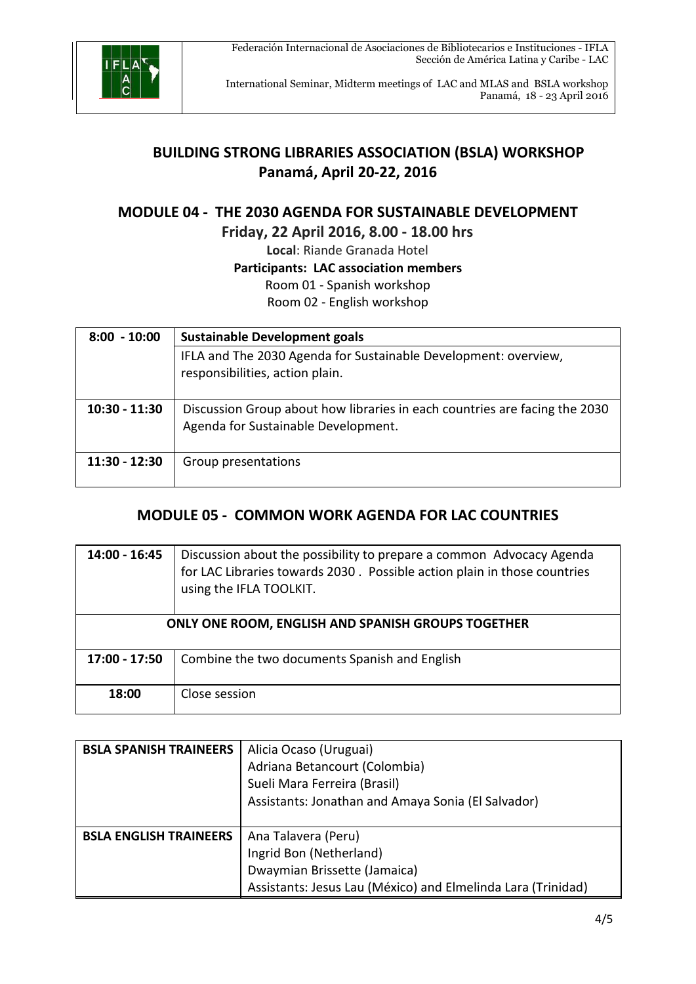

International Seminar, Midterm meetings of LAC and MLAS and BSLA workshop Panamá, 18 - 23 April 2016

## **BUILDING STRONG LIBRARIES ASSOCIATION (BSLA) WORKSHOP Panamá, April 20-22, 2016**

# **MODULE 04 - THE 2030 AGENDA FOR SUSTAINABLE DEVELOPMENT Friday, 22 April 2016, 8.00 - 18.00 hrs**

**Local**: Riande Granada Hotel **Participants: LAC association members** Room 01 - Spanish workshop

Room 02 - English workshop

| $8:00 - 10:00$  | <b>Sustainable Development goals</b>                                                                              |  |
|-----------------|-------------------------------------------------------------------------------------------------------------------|--|
|                 | IFLA and The 2030 Agenda for Sustainable Development: overview,<br>responsibilities, action plain.                |  |
| $10:30 - 11:30$ | Discussion Group about how libraries in each countries are facing the 2030<br>Agenda for Sustainable Development. |  |
| $11:30 - 12:30$ | Group presentations                                                                                               |  |

## **MODULE 05 - COMMON WORK AGENDA FOR LAC COUNTRIES**

| 14:00 - 16:45 | Discussion about the possibility to prepare a common Advocacy Agenda<br>for LAC Libraries towards 2030. Possible action plain in those countries<br>using the IFLA TOOLKIT. |
|---------------|-----------------------------------------------------------------------------------------------------------------------------------------------------------------------------|
|               | ONLY ONE ROOM, ENGLISH AND SPANISH GROUPS TOGETHER                                                                                                                          |
| 17:00 - 17:50 | Combine the two documents Spanish and English                                                                                                                               |
| 18:00         | Close session                                                                                                                                                               |

| <b>BSLA SPANISH TRAINEERS</b> | Alicia Ocaso (Uruguai)<br>Adriana Betancourt (Colombia)<br>Sueli Mara Ferreira (Brasil)<br>Assistants: Jonathan and Amaya Sonia (El Salvador)  |
|-------------------------------|------------------------------------------------------------------------------------------------------------------------------------------------|
| <b>BSLA ENGLISH TRAINEERS</b> | Ana Talavera (Peru)<br>Ingrid Bon (Netherland)<br>Dwaymian Brissette (Jamaica)<br>Assistants: Jesus Lau (México) and Elmelinda Lara (Trinidad) |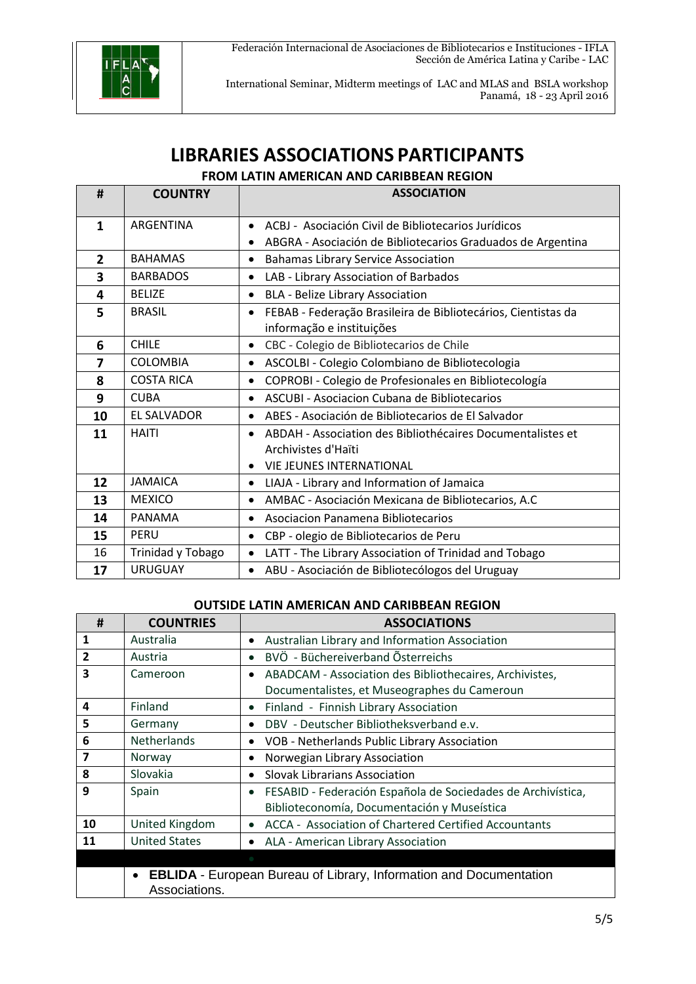

International Seminar, Midterm meetings of LAC and MLAS and BSLA workshop Panamá, 18 - 23 April 2016

# **LIBRARIES ASSOCIATIONS PARTICIPANTS**

**FROM LATIN AMERICAN AND CARIBBEAN REGION**

| #              | <b>COUNTRY</b>     | <b>ASSOCIATION</b>                                                 |
|----------------|--------------------|--------------------------------------------------------------------|
|                |                    |                                                                    |
| $\mathbf{1}$   | ARGENTINA          | ACBJ - Asociación Civil de Bibliotecarios Jurídicos                |
|                |                    | ABGRA - Asociación de Bibliotecarios Graduados de Argentina        |
| $\overline{2}$ | <b>BAHAMAS</b>     | <b>Bahamas Library Service Association</b><br>$\bullet$            |
| 3              | <b>BARBADOS</b>    | LAB - Library Association of Barbados<br>$\bullet$                 |
| 4              | <b>BELIZE</b>      | <b>BLA - Belize Library Association</b><br>$\bullet$               |
| 5              | <b>BRASIL</b>      | FEBAB - Federação Brasileira de Bibliotecários, Cientistas da      |
|                |                    | informação e instituições                                          |
| 6              | <b>CHILE</b>       | CBC - Colegio de Bibliotecarios de Chile<br>$\bullet$              |
| 7              | <b>COLOMBIA</b>    | ASCOLBI - Colegio Colombiano de Bibliotecologia<br>$\bullet$       |
| 8              | <b>COSTA RICA</b>  | COPROBI - Colegio de Profesionales en Bibliotecología<br>$\bullet$ |
| 9              | <b>CUBA</b>        | ASCUBI - Asociacion Cubana de Bibliotecarios                       |
| 10             | <b>EL SALVADOR</b> | ABES - Asociación de Bibliotecarios de El Salvador<br>$\bullet$    |
| 11             | <b>HAITI</b>       | ABDAH - Association des Bibliothécaires Documentalistes et         |
|                |                    | Archivistes d'Haïti                                                |
|                |                    | <b>VIE JEUNES INTERNATIONAL</b>                                    |
| 12             | <b>JAMAICA</b>     | LIAJA - Library and Information of Jamaica<br>٠                    |
| 13             | <b>MEXICO</b>      | AMBAC - Asociación Mexicana de Bibliotecarios, A.C                 |
| 14             | PANAMA             | Asociacion Panamena Bibliotecarios<br>$\bullet$                    |
| 15             | PERU               | CBP - olegio de Bibliotecarios de Peru<br>$\bullet$                |
| 16             | Trinidad y Tobago  | LATT - The Library Association of Trinidad and Tobago<br>$\bullet$ |
| 17             | <b>URUGUAY</b>     | ABU - Asociación de Bibliotecólogos del Uruguay                    |

#### **OUTSIDE LATIN AMERICAN AND CARIBBEAN REGION**

| #  | <b>COUNTRIES</b>     | <b>ASSOCIATIONS</b>                                                       |
|----|----------------------|---------------------------------------------------------------------------|
| 1  | Australia            | Australian Library and Information Association<br>$\bullet$               |
| 2  | Austria              | BVÖ - Büchereiverband Österreichs<br>$\bullet$                            |
| 3  | Cameroon             | ABADCAM - Association des Bibliothecaires, Archivistes,<br>$\bullet$      |
|    |                      | Documentalistes, et Museographes du Cameroun                              |
| 4  | Finland              | Finland - Finnish Library Association<br>$\bullet$                        |
| 5  | Germany              | DBV - Deutscher Bibliotheksverband e.v.<br>$\bullet$                      |
| 6  | Netherlands          | VOB - Netherlands Public Library Association<br>$\bullet$                 |
| 7  | Norway               | Norwegian Library Association                                             |
| 8  | Slovakia             | <b>Slovak Librarians Association</b><br>$\bullet$                         |
| 9  | Spain                | FESABID - Federación Española de Sociedades de Archivística,<br>$\bullet$ |
|    |                      | Biblioteconomía, Documentación y Museística                               |
| 10 | United Kingdom       | ACCA - Association of Chartered Certified Accountants<br>$\bullet$        |
| 11 | <b>United States</b> | ALA - American Library Association                                        |
|    |                      |                                                                           |
|    | Associations.        | <b>EBLIDA</b> - European Bureau of Library, Information and Documentation |